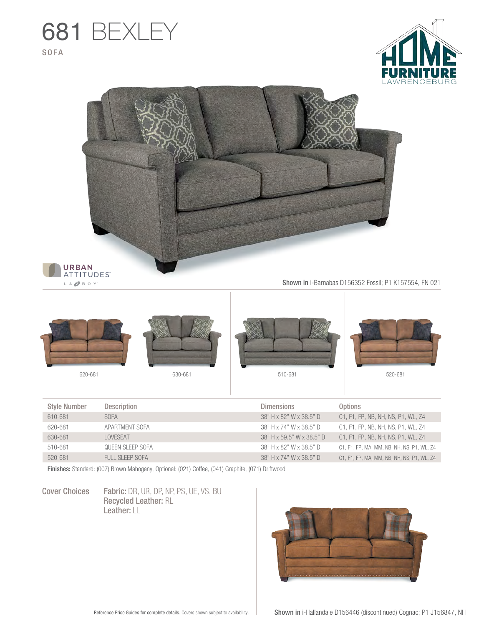





LA **O** B O Y'

Shown in i-Barnabas D156352 Fossil; P1 K157554, FN 021



| <b>Style Number</b> | <b>Description</b> | <b>Dimensions</b>         | <b>Options</b>                             |
|---------------------|--------------------|---------------------------|--------------------------------------------|
| 610-681             | <b>SOFA</b>        | 38" H x 82" W x 38.5" D   | C1, F1, FP, NB, NH, NS, P1, WL, Z4         |
| 620-681             | APARTMENT SOFA     | 38" H x 74" W x 38.5" D   | C1, F1, FP, NB, NH, NS, P1, WL, Z4         |
| 630-681             | LOVESEAT           | 38" H x 59.5" W x 38.5" D | C1, F1, FP, NB, NH, NS, P1, WL, Z4         |
| 510-681             | OUFFN SLEEP SOFA   | 38" H x 82" W x 38.5" D   | C1, F1, FP, MA, MM, NB, NH, NS, P1, WL, Z4 |
| 520-681             | FULL SLEEP SOFA    | 38" H x 74" W x 38.5" D   | C1, F1, FP, MA, MM, NB, NH, NS, P1, WL, Z4 |

Finishes: Standard: (007) Brown Mahogany, Optional: (021) Coffee, (041) Graphite, (071) Driftwood

Cover Choices Fabric: DR, UR, DP, NP, PS, UE, VS, BU Recycled Leather: RL Leather: LL